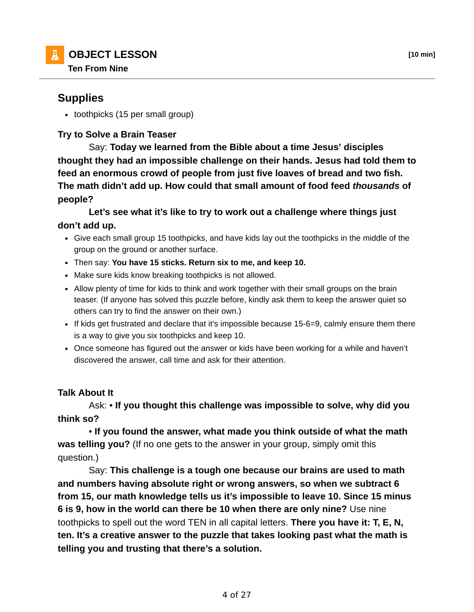## **Supplies**

• toothpicks (15 per small group)

## **Try to Solve a Brain Teaser**

 Say: **Today we learned from the Bible about a time Jesus' disciples thought they had an impossible challenge on their hands. Jesus had told them to feed an enormous crowd of people from just five loaves of bread and two fish. The math didn't add up. How could that small amount of food feed** *thousands* **of people?**

 **Let's see what it's like to try to work out a challenge where things just don't add up.**

- Give each small group 15 toothpicks, and have kids lay out the toothpicks in the middle of the group on the ground or another surface.
- Then say: **You have 15 sticks. Return six to me, and keep 10.**
- Make sure kids know breaking toothpicks is not allowed.
- Allow plenty of time for kids to think and work together with their small groups on the brain teaser. (If anyone has solved this puzzle before, kindly ask them to keep the answer quiet so others can try to find the answer on their own.)
- If kids get frustrated and declare that it's impossible because 15-6=9, calmly ensure them there is a way to give you six toothpicks and keep 10.
- Once someone has figured out the answer or kids have been working for a while and haven't discovered the answer, call time and ask for their attention.

## **Talk About It**

 Ask: • **If you thought this challenge was impossible to solve, why did you think so?**

 • **If you found the answer, what made you think outside of what the math was telling you?** (If no one gets to the answer in your group, simply omit this question.)

 Say: **This challenge is a tough one because our brains are used to math and numbers having absolute right or wrong answers, so when we subtract 6 from 15, our math knowledge tells us it's impossible to leave 10. Since 15 minus 6 is 9, how in the world can there be 10 when there are only nine?** Use nine toothpicks to spell out the word TEN in all capital letters. **There you have it: T, E, N, ten. It's a creative answer to the puzzle that takes looking past what the math is telling you and trusting that there's a solution.**